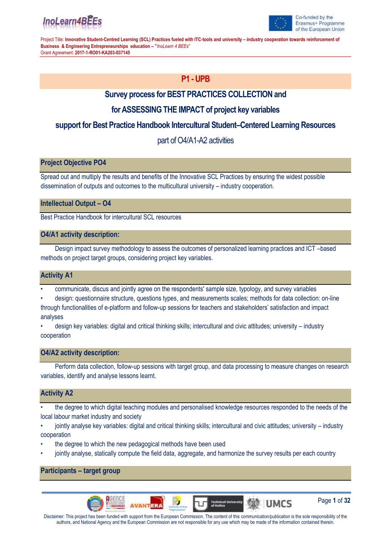



# **P1 - UPB**

# **Survey process for BEST PRACTICES COLLECTION and**

# **for ASSESSING THE IMPACT of project key variables**

# **support for Best Practice Handbook Intercultural Student–Centered Learning Resources**

# part of O4/A1-A2 activities

### **Project Objective PO4**

Spread out and multiply the results and benefits of the Innovative SCL Practices by ensuring the widest possible dissemination of outputs and outcomes to the multicultural university – industry cooperation.

### **Intellectual Output – O4**

Best Practice Handbook for intercultural SCL resources

### **O4/A1 activity description:**

Design impact survey methodology to assess the outcomes of personalized learning practices and ICT –based methods on project target groups, considering project key variables.

### **Activity A1**

• communicate, discus and jointly agree on the respondents' sample size, typology, and survey variables

• design: questionnaire structure, questions types, and measurements scales; methods for data collection: on-line through functionalities of e-platform and follow-up sessions for teachers and stakeholders' satisfaction and impact analyses

• design key variables: digital and critical thinking skills; intercultural and civic attitudes; university – industry cooperation

### **O4/A2 activity description:**

Perform data collection, follow-up sessions with target group, and data processing to measure changes on research variables, identify and analyse lessons learnt.

### **Activity A2**

• the degree to which digital teaching modules and personalised knowledge resources responded to the needs of the local labour market industry and society

• jointly analyse key variables: digital and critical thinking skills; intercultural and civic attitudes; university – industry cooperation

- the degree to which the new pedagogical methods have been used
- jointly analyse, statically compute the field data, aggregate, and harmonize the survey results per each country

**Participants – target group**





Page **1** of **32**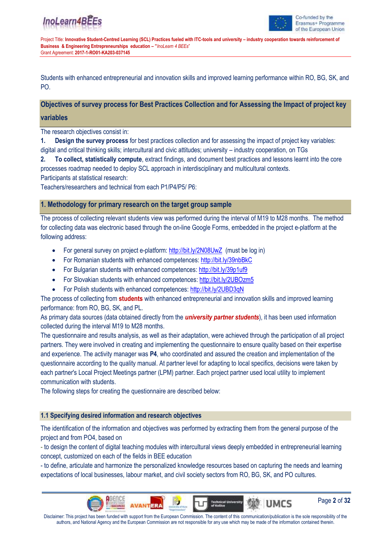

Page **2** of **32**

**UMCS** 

Project Title: **Innovative Student-Centred Learning (SCL) Practices fueled with ITC-tools and university – industry cooperation towards reinforcement of Business & Engineering Entrepreneurships education – "***InoLearn 4 BEEs*" Grant Agreement: **2017-1-RO01-KA203-037145**

Students with enhanced entrepreneurial and innovation skills and improved learning performance within RO, BG, SK, and PO.

### **Objectives of survey process for Best Practices Collection and for Assessing the Impact of project key**

#### **variables**

The research objectives consist in:

**1. Design the survey process** for best practices collection and for assessing the impact of project key variables: digital and critical thinking skills; intercultural and civic attitudes; university – industry cooperation, on TGs

**2. To collect, statistically compute**, extract findings, and document best practices and lessons learnt into the core processes roadmap needed to deploy SCL approach in interdisciplinary and multicultural contexts.

Participants at statistical research:

Teachers/researchers and technical from each P1/P4/P5/ P6:

### **1. Methodology for primary research on the target group sample**

The process of collecting relevant students view was performed during the interval of M19 to M28 months. The method for collecting data was electronic based through the on-line Google Forms, embedded in the project e-platform at the following address:

- For general survey on project e-platform:<http://bit.ly/2N08UwZ>(must be log in)
- For Romanian students with enhanced competences: <http://bit.ly/39nbBkC>
- For Bulgarian students with enhanced competences: <http://bit.ly/39p1uf9>
- For Slovakian students with enhanced competences: <http://bit.ly/2UBOzm5>
- For Polish students with enhanced competences:<http://bit.ly/2UBD3qN>

The process of collecting from **students** with enhanced entrepreneurial and innovation skills and improved learning performance: from RO, BG, SK, and PL.

As primary data sources (data obtained directly from the *university partner students*), it has been used information collected during the interval M19 to M28 months.

The questionnaire and results analysis, as well as their adaptation, were achieved through the participation of all project partners. They were involved in creating and implementing the questionnaire to ensure quality based on their expertise and experience. The activity manager was **P4**, who coordinated and assured the creation and implementation of the questionnaire according to the quality manual. At partner level for adapting to local specifics, decisions were taken by each partner's Local Project Meetings partner (LPM) partner. Each project partner used local utility to implement communication with students.

The following steps for creating the questionnaire are described below:

### **1.1 Specifying desired information and research objectives**

The identification of the information and objectives was performed by extracting them from the general purpose of the project and from PO4, based on

- to design the content of digital teaching modules with intercultural views deeply embedded in entrepreneurial learning concept, customized on each of the fields in BEE education

- to define, articulate and harmonize the personalized knowledge resources based on capturing the needs and learning expectations of local businesses, labour market, and civil society sectors from RO, BG, SK, and PO cultures.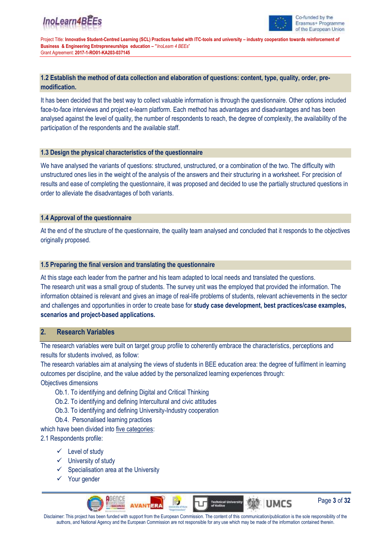

Project Title: **Innovative Student-Centred Learning (SCL) Practices fueled with ITC-tools and university – industry cooperation towards reinforcement of Business & Engineering Entrepreneurships education – "***InoLearn 4 BEEs*" Grant Agreement: **2017-1-RO01-KA203-037145**

### **1.2 Establish the method of data collection and elaboration of questions: content, type, quality, order, premodification.**

It has been decided that the best way to collect valuable information is through the questionnaire. Other options included face-to-face interviews and project e-learn platform. Each method has advantages and disadvantages and has been analysed against the level of quality, the number of respondents to reach, the degree of complexity, the availability of the participation of the respondents and the available staff.

### **1.3 Design the physical characteristics of the questionnaire**

We have analysed the variants of questions: structured, unstructured, or a combination of the two. The difficulty with unstructured ones lies in the weight of the analysis of the answers and their structuring in a worksheet. For precision of results and ease of completing the questionnaire, it was proposed and decided to use the partially structured questions in order to alleviate the disadvantages of both variants.

### **1.4 Approval of the questionnaire**

At the end of the structure of the questionnaire, the quality team analysed and concluded that it responds to the objectives originally proposed.

### **1.5 Preparing the final version and translating the questionnaire**

At this stage each leader from the partner and his team adapted to local needs and translated the questions. The research unit was a small group of students. The survey unit was the employed that provided the information. The information obtained is relevant and gives an image of real-life problems of students, relevant achievements in the sector and challenges and opportunities in order to create base for **study case development, best practices/case examples, scenarios and project-based applications.**

## **2. Research Variables**

The research variables were built on target group profile to coherently embrace the characteristics, perceptions and results for students involved, as follow:

The research variables aim at analysing the views of students in BEE education area: the degree of fulfilment in learning outcomes per discipline, and the value added by the personalized learning experiences through: Objectives dimensions

- Ob.1. To identifying and defining Digital and Critical Thinking
- Ob.2. To identifying and defining Intercultural and civic attitudes
- Ob.3. To identifying and defining University-Industry cooperation
- Ob.4. Personalised learning practices

which have been divided into five categories:

2.1 Respondents profile:

- ✓ Level of study
- ✓ University of study
- $\checkmark$  Specialisation area at the University
- ✓ Your gender



Page **3** of **32**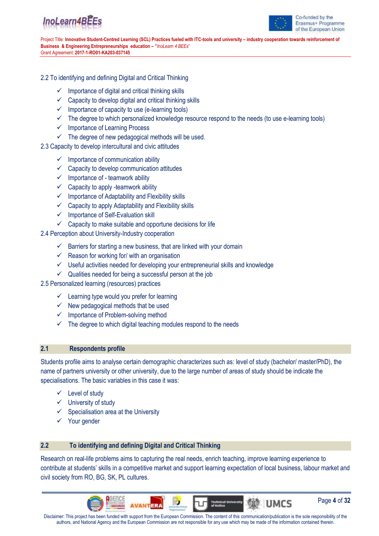



#### 2.2 To identifying and defining Digital and Critical Thinking

- $\checkmark$  Importance of digital and critical thinking skills
- $\checkmark$  Capacity to develop digital and critical thinking skills
- $\checkmark$  Importance of capacity to use (e-learning tools)
- $\checkmark$  The degree to which personalized knowledge resource respond to the needs (to use e-learning tools)
- ✓ Importance of Learning Process
- $\checkmark$  The degree of new pedagogical methods will be used.
- 2.3 Capacity to develop intercultural and civic attitudes
	- $\checkmark$  Importance of communication ability
	- $\checkmark$  Capacity to develop communication attitudes
	- $\checkmark$  Importance of teamwork ability
	- $\checkmark$  Capacity to apply -teamwork ability
	- $\checkmark$  Importance of Adaptability and Flexibility skills
	- $\checkmark$  Capacity to apply Adaptability and Flexibility skills
	- ✓ Importance of Self-Evaluation skill
	- $\checkmark$  Capacity to make suitable and opportune decisions for life

2.4 Perception about University-Industry cooperation

- $\checkmark$  Barriers for starting a new business, that are linked with your domain
- $\checkmark$  Reason for working for/ with an organisation
- $\checkmark$  Useful activities needed for developing your entrepreneurial skills and knowledge
- $\checkmark$  Qualities needed for being a successful person at the job
- 2.5 Personalized learning (resources) practices
	- $\checkmark$  Learning type would you prefer for learning
	- $\checkmark$  New pedagogical methods that be used
	- ✓ Importance of Problem-solving method
	- $\checkmark$  The degree to which digital teaching modules respond to the needs

#### **2.1 Respondents profile**

Students profile aims to analyse certain demographic characterizes such as: level of study (bachelor/ master/PhD), the name of partners university or other university, due to the large number of areas of study should be indicate the specialisations. The basic variables in this case it was:

- ✓ Level of study
- ✓ University of study
- $\checkmark$  Specialisation area at the University
- ✓ Your gender

### **2.2 To identifying and defining Digital and Critical Thinking**

Research on real-life problems aims to capturing the real needs, enrich teaching, improve learning experience to contribute at students' skills in a competitive market and support learning expectation of local business, labour market and civil society from RO, BG, SK, PL cultures.

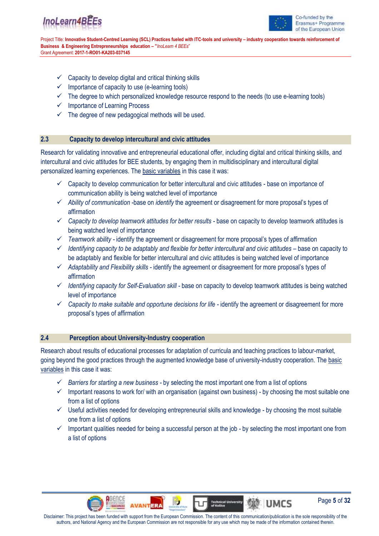



Page **5** of **32**

**UMCS** 

Project Title: **Innovative Student-Centred Learning (SCL) Practices fueled with ITC-tools and university – industry cooperation towards reinforcement of Business & Engineering Entrepreneurships education – "***InoLearn 4 BEEs*" Grant Agreement: **2017-1-RO01-KA203-037145**

- $\checkmark$  Capacity to develop digital and critical thinking skills
- $\checkmark$  Importance of capacity to use (e-learning tools)
- ✓ The degree to which personalized knowledge resource respond to the needs (to use e-learning tools)
- ✓ Importance of Learning Process
- $\checkmark$  The degree of new pedagogical methods will be used.

#### **2.3 Capacity to develop intercultural and civic attitudes**

Research for validating innovative and entrepreneurial educational offer, including digital and critical thinking skills, and intercultural and civic attitudes for BEE students, by engaging them in multidisciplinary and intercultural digital personalized learning experiences. The basic variables in this case it was:

- ✓ Capacity to develop communication for better intercultural and civic attitudes base on importance of communication ability is being watched level of importance
- ✓ *Ability of communication* -base on *identify* the agreement or disagreement for more proposal's types of affirmation
- ✓ *Capacity to develop teamwork attitudes for better results -* base on capacity to develop teamwork attitudes is being watched level of importance
- ✓ *Teamwork ability -* identify the agreement or disagreement for more proposal's types of affirmation
- ✓ *Identifying capacity to be adaptably and flexible for better intercultural and civic attitudes –* base on capacity to be adaptably and flexible for better intercultural and civic attitudes is being watched level of importance
- ✓ *Adaptability and Flexibility skills -* identify the agreement or disagreement for more proposal's types of affirmation
- ✓ *Identifying capacity for Self-Evaluation skill -* base on capacity to develop teamwork attitudes is being watched level of importance
- ✓ *Capacity to make suitable and opportune decisions for life -* identify the agreement or disagreement for more proposal's types of affirmation

### **2.4 Perception about University-Industry cooperation**

Research about results of educational processes for adaptation of curricula and teaching practices to labour-market, going beyond the good practices through the augmented knowledge base of university-industry cooperation. The basic variables in this case it was:

- ✓ *Barriers for starting a new business -* by selecting the most important one from a list of options
- $\checkmark$  Important reasons to work for/ with an organisation (against own business) by choosing the most suitable one from a list of options
- ✓ Useful activities needed for developing entrepreneurial skills and knowledge by choosing the most suitable one from a list of options
- ✓ Important qualities needed for being a successful person at the job by selecting the most important one from a list of options

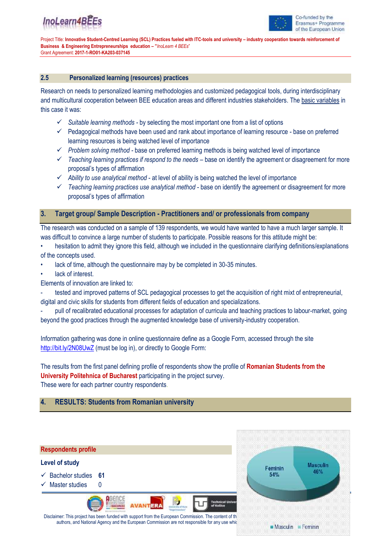

Project Title: **Innovative Student-Centred Learning (SCL) Practices fueled with ITC-tools and university – industry cooperation towards reinforcement of Business & Engineering Entrepreneurships education – "***InoLearn 4 BEEs*" Grant Agreement: **2017-1-RO01-KA203-037145**

#### **2.5 Personalized learning (resources) practices**

Research on needs to personalized learning methodologies and customized pedagogical tools, during interdisciplinary and multicultural cooperation between BEE education areas and different industries stakeholders. The basic variables in this case it was:

- ✓ *Suitable learning methods -* by selecting the most important one from a list of options
- ✓ Pedagogical methods have been used and rank about importance of learning resource base on preferred learning resources is being watched level of importance
- ✓ *Problem solving method -* base on preferred learning methods is being watched level of importance
- ✓ *Teaching learning practices if respond to the needs* base on identify the agreement or disagreement for more proposal's types of affirmation
- ✓ *Ability to use analytical method* at level of ability is being watched the level of importance
- ✓ *Teaching learning practices use analytical method* base on identify the agreement or disagreement for more proposal's types of affirmation

### **3. Target group/ Sample Description - Practitioners and/ or professionals from company**

The research was conducted on a sample of 139 respondents, we would have wanted to have a much larger sample. It was difficult to convince a large number of students to participate. Possible reasons for this attitude might be:

- hesitation to admit they ignore this field, although we included in the questionnaire clarifying definitions/explanations of the concepts used.
- lack of time, although the questionnaire may by be completed in 30-35 minutes.
- lack of interest.

Elements of innovation are linked to:

- tested and improved patterns of SCL pedagogical processes to get the acquisition of right mixt of entrepreneurial, digital and civic skills for students from different fields of education and specializations.

pull of recalibrated educational processes for adaptation of curricula and teaching practices to labour-market, going beyond the good practices through the augmented knowledge base of university-industry cooperation.

Information gathering was done in online questionnaire define as a Google Form, accessed through the site <http://bit.ly/2N08UwZ> (must be log in), or directly to Google Form:

The results from the first panel defining profile of respondents show the profile of **Romanian Students from the University Politehnica of Bucharest** participating in the project survey. These were for each partner country respondents.

### **4. RESULTS: Students from Romanian university**



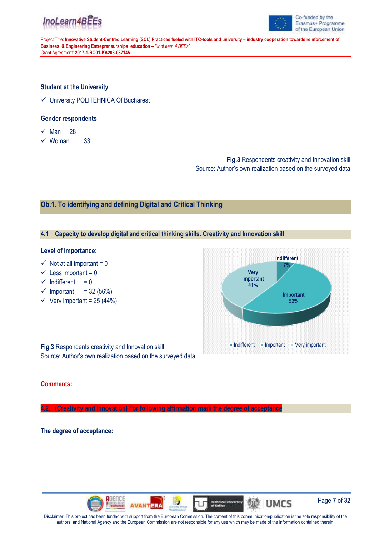



#### **Student at the University**

✓ University POLITEHNICA Of Bucharest

#### **Gender respondents**

- $\times$  Man 28
- $\checkmark$  Woman 33

**Fig.3** Respondents creativity and Innovation skill Source: Author's own realization based on the surveyed data

### **Ob.1. To identifying and defining Digital and Critical Thinking**

#### **4.1 Capacity to develop digital and critical thinking skills. Creativity and Innovation skill**

#### **Level of importance**:

- $\checkmark$  Not at all important = 0
- $\checkmark$  Less important = 0
- $\checkmark$  Indifferent = 0
- $\checkmark$  Important = 32 (56%)
- $\checkmark$  Very important = 25 (44%)



**Fig.3** Respondents creativity and Innovation skill Source: Author's own realization based on the surveyed data

#### **Comments:**

**4.2. (Creativity and Innovation) For following affirmation mark the degree of acceptance**

#### **The degree of acceptance:**

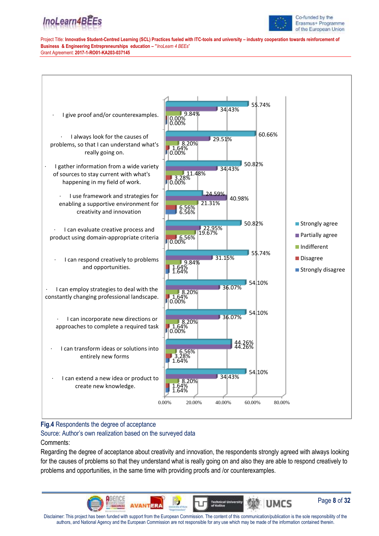

Co-funded by the Erasmus+ Programme of the European Union

Project Title: **Innovative Student-Centred Learning (SCL) Practices fueled with ITC-tools and university – industry cooperation towards reinforcement of Business & Engineering Entrepreneurships education – "***InoLearn 4 BEEs*" Grant Agreement: **2017-1-RO01-KA203-037145**



### **Fig.4** Respondents the degree of acceptance

Source: Author's own realization based on the surveyed data Comments:

Regarding the degree of acceptance about creativity and innovation, the respondents strongly agreed with always looking for the causes of problems so that they understand what is really going on and also they are able to respond creatively to problems and opportunities, in the same time with providing proofs and /or counterexamples.

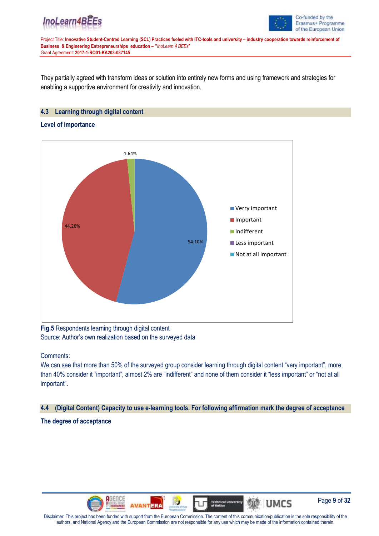



They partially agreed with transform ideas or solution into entirely new forms and using framework and strategies for enabling a supportive environment for creativity and innovation.

### **4.3 Learning through digital content**

#### **Level of importance**



**Fig.5** Respondents learning through digital content Source: Author's own realization based on the surveyed data

Comments:

We can see that more than 50% of the surveyed group consider learning through digital content "very important", more than 40% consider it "important", almost 2% are "indifferent" and none of them consider it "less important" or "not at all important".

#### **4.4 (Digital Content) Capacity to use e-learning tools. For following affirmation mark the degree of acceptance**

**The degree of acceptance** 

![](_page_8_Picture_13.jpeg)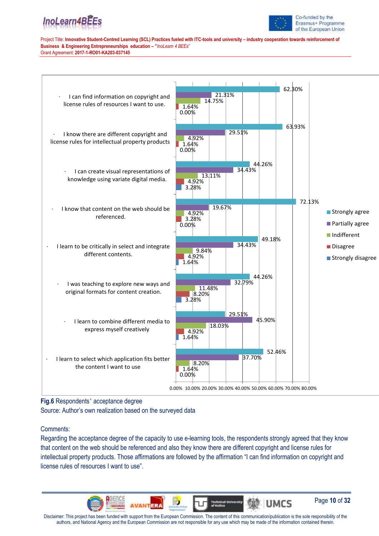![](_page_9_Picture_0.jpeg)

![](_page_9_Picture_1.jpeg)

![](_page_9_Figure_4.jpeg)

**Fig.6** Respondents' acceptance degree

Source: Author's own realization based on the surveyed data

#### Comments:

Regarding the acceptance degree of the capacity to use e-learning tools, the respondents strongly agreed that they know that content on the web should be referenced and also they know there are different copyright and license rules for intellectual property products. Those affirmations are followed by the affirmation "I can find information on copyright and license rules of resources I want to use".

![](_page_9_Picture_9.jpeg)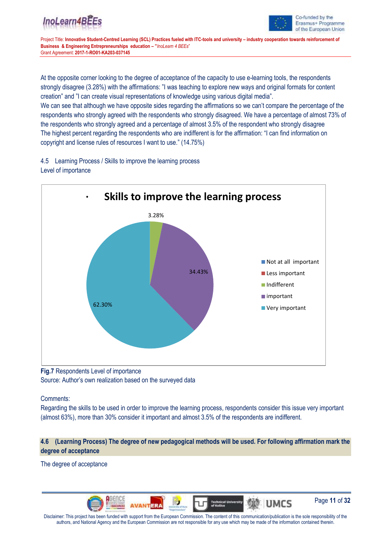![](_page_10_Picture_1.jpeg)

Page **11** of **32**

**UMCS** 

Project Title: **Innovative Student-Centred Learning (SCL) Practices fueled with ITC-tools and university – industry cooperation towards reinforcement of Business & Engineering Entrepreneurships education – "***InoLearn 4 BEEs*" Grant Agreement: **2017-1-RO01-KA203-037145**

At the opposite corner looking to the degree of acceptance of the capacity to use e-learning tools, the respondents strongly disagree (3.28%) with the affirmations: "I was teaching to explore new ways and original formats for content creation" and "I can create visual representations of knowledge using various digital media".

We can see that although we have opposite sides regarding the affirmations so we can't compare the percentage of the respondents who strongly agreed with the respondents who strongly disagreed. We have a percentage of almost 73% of the respondents who strongly agreed and a percentage of almost 3.5% of the respondent who strongly disagree The highest percent regarding the respondents who are indifferent is for the affirmation: "I can find information on copyright and license rules of resources I want to use." (14.75%)

4.5 Learning Process / Skills to improve the learning process Level of importance

![](_page_10_Figure_7.jpeg)

### **Fig.7** Respondents Level of importance Source: Author's own realization based on the surveyed data

Comments:

Regarding the skills to be used in order to improve the learning process, respondents consider this issue very important (almost 63%), more than 30% consider it important and almost 3.5% of the respondents are indifferent.

## **4.6 (Learning Process) The degree of new pedagogical methods will be used. For following affirmation mark the degree of acceptance**

The degree of acceptance

![](_page_10_Picture_13.jpeg)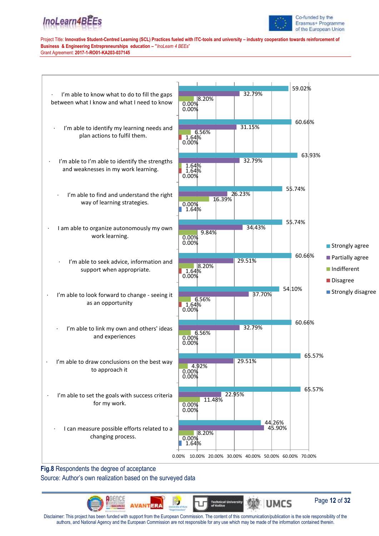![](_page_11_Picture_0.jpeg)

![](_page_11_Picture_1.jpeg)

![](_page_11_Figure_4.jpeg)

**Fig.8** Respondents the degree of acceptance

Source: Author's own realization based on the surveyed data

![](_page_11_Picture_7.jpeg)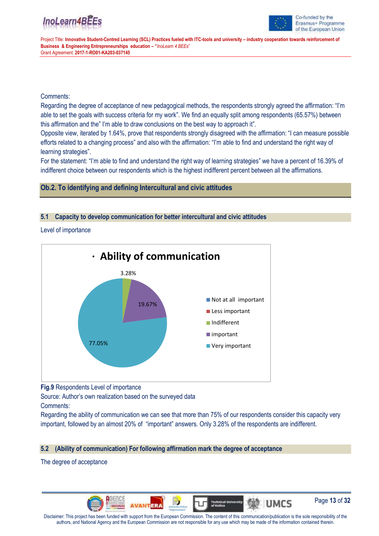![](_page_12_Picture_1.jpeg)

Page **13** of **32**

MO UMCS

Project Title: **Innovative Student-Centred Learning (SCL) Practices fueled with ITC-tools and university – industry cooperation towards reinforcement of Business & Engineering Entrepreneurships education – "***InoLearn 4 BEEs*" Grant Agreement: **2017-1-RO01-KA203-037145**

### Comments:

Regarding the degree of acceptance of new pedagogical methods, the respondents strongly agreed the affirmation: "I'm able to set the goals with success criteria for my work". We find an equally split among respondents (65.57%) between this affirmation and the" I'm able to draw conclusions on the best way to approach it".

Opposite view, iterated by 1.64%, prove that respondents strongly disagreed with the affirmation: "I can measure possible efforts related to a changing process" and also with the affirmation: "I'm able to find and understand the right way of learning strategies".

For the statement: "I'm able to find and understand the right way of learning strategies" we have a percent of 16.39% of indifferent choice between our respondents which is the highest indifferent percent between all the affirmations.

### **Ob.2. To identifying and defining Intercultural and civic attitudes**

#### **5.1 Capacity to develop communication for better intercultural and civic attitudes**

Level of importance

![](_page_12_Figure_11.jpeg)

![](_page_12_Figure_12.jpeg)

Source: Author's own realization based on the surveyed data Comments:

Regarding the ability of communication we can see that more than 75% of our respondents consider this capacity very important, followed by an almost 20% of "important" answers. Only 3.28% of the respondents are indifferent.

### **5.2 (Ability of communication) For following affirmation mark the degree of acceptance**

The degree of acceptance

![](_page_12_Picture_18.jpeg)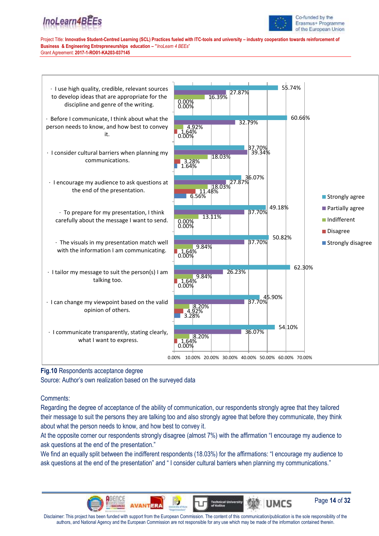![](_page_13_Picture_1.jpeg)

Co-funded by the Erasmus+ Programme of the European Union

Page **14** of **32**

Project Title: **Innovative Student-Centred Learning (SCL) Practices fueled with ITC-tools and university – industry cooperation towards reinforcement of Business & Engineering Entrepreneurships education – "***InoLearn 4 BEEs*" Grant Agreement: **2017-1-RO01-KA203-037145**

![](_page_13_Figure_4.jpeg)

**Fig.10** Respondents acceptance degree

Source: Author's own realization based on the surveyed data

Comments:

Regarding the degree of acceptance of the ability of communication, our respondents strongly agree that they tailored their message to suit the persons they are talking too and also strongly agree that before they communicate, they think about what the person needs to know, and how best to convey it.

At the opposite corner our respondents strongly disagree (almost 7%) with the affirmation "I encourage my audience to ask questions at the end of the presentation."

We find an equally split between the indifferent respondents (18.03%) for the affirmations: "I encourage my audience to ask questions at the end of the presentation" and " I consider cultural barriers when planning my communications."

![](_page_13_Picture_11.jpeg)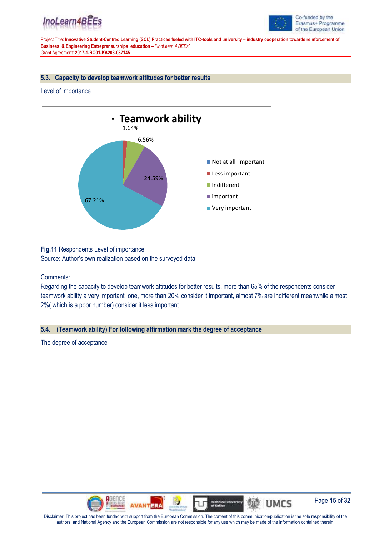![](_page_14_Picture_0.jpeg)

![](_page_14_Picture_1.jpeg)

#### **5.3. Capacity to develop teamwork attitudes for better results**

#### Level of importance

![](_page_14_Figure_6.jpeg)

**Fig.11** Respondents Level of importance Source: Author's own realization based on the surveyed data

Comments:

Regarding the capacity to develop teamwork attitudes for better results, more than 65% of the respondents consider teamwork ability a very important one, more than 20% consider it important, almost 7% are indifferent meanwhile almost 2%( which is a poor number) consider it less important.

#### **5.4. (Teamwork ability) For following affirmation mark the degree of acceptance**

The degree of acceptance

![](_page_14_Picture_12.jpeg)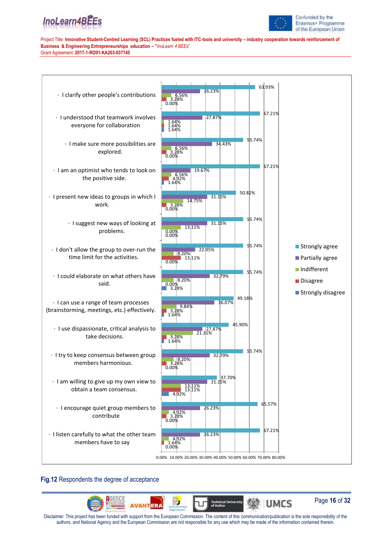![](_page_15_Picture_0.jpeg)

![](_page_15_Picture_1.jpeg)

![](_page_15_Figure_4.jpeg)

### **Fig.12** Respondents the degree of acceptance

![](_page_15_Picture_6.jpeg)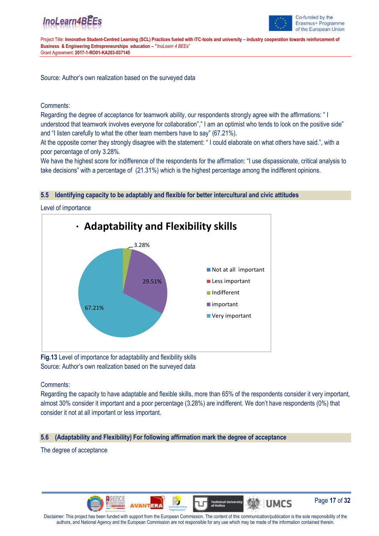![](_page_16_Picture_1.jpeg)

Project Title: **Innovative Student-Centred Learning (SCL) Practices fueled with ITC-tools and university – industry cooperation towards reinforcement of Business & Engineering Entrepreneurships education – "***InoLearn 4 BEEs*" Grant Agreement: **2017-1-RO01-KA203-037145**

Source: Author's own realization based on the surveyed data

### Comments:

Regarding the degree of acceptance for teamwork ability, our respondents strongly agree with the affirmations: " I understood that teamwork involves everyone for collaboration"," I am an optimist who tends to look on the positive side" and "I listen carefully to what the other team members have to say" (67.21%).

At the opposite corner they strongly disagree with the statement: " I could elaborate on what others have said.", with a poor percentage of only 3.28%.

We have the highest score for indifference of the respondents for the affirmation: "I use dispassionate, critical analysis to take decisions" with a percentage of (21.31%) which is the highest percentage among the indifferent opinions.

#### **5.5 Identifying capacity to be adaptably and flexible for better intercultural and civic attitudes**

Level of importance

![](_page_16_Figure_11.jpeg)

**Fig.13** Level of importance for adaptability and flexibility skills Source: Author's own realization based on the surveyed data

Comments:

Regarding the capacity to have adaptable and flexible skills, more than 65% of the respondents consider it very important, almost 30% consider it important and a poor percentage (3.28%) are indifferent. We don't have respondents (0%) that consider it not at all important or less important.

### **5.6 (Adaptability and Flexibility) For following affirmation mark the degree of acceptance**

The degree of acceptance

![](_page_16_Picture_17.jpeg)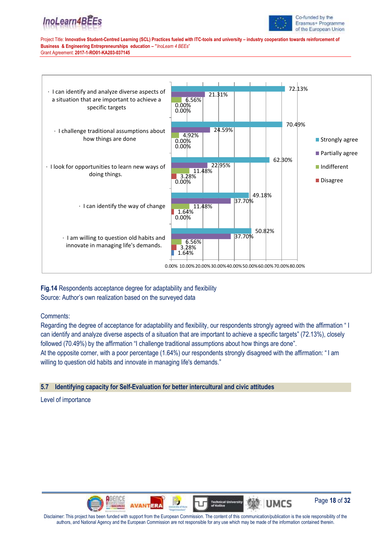![](_page_17_Picture_0.jpeg)

![](_page_17_Picture_1.jpeg)

Co-funded by the Erasmus+ Programme of the European Union

Project Title: **Innovative Student-Centred Learning (SCL) Practices fueled with ITC-tools and university – industry cooperation towards reinforcement of Business & Engineering Entrepreneurships education – "***InoLearn 4 BEEs*" Grant Agreement: **2017-1-RO01-KA203-037145**

![](_page_17_Figure_4.jpeg)

**Fig.14** Respondents acceptance degree for adaptability and flexibility Source: Author's own realization based on the surveyed data

Comments:

Regarding the degree of acceptance for adaptability and flexibility, our respondents strongly agreed with the affirmation " I can identify and analyze diverse aspects of a situation that are important to achieve a specific targets" (72.13%), closely followed (70.49%) by the affirmation "I challenge traditional assumptions about how things are done". At the opposite corner, with a poor percentage (1.64%) our respondents strongly disagreed with the affirmation: " I am

willing to question old habits and innovate in managing life's demands."

## **5.7 Identifying capacity for Self-Evaluation for better intercultural and civic attitudes**

Level of importance

![](_page_17_Picture_11.jpeg)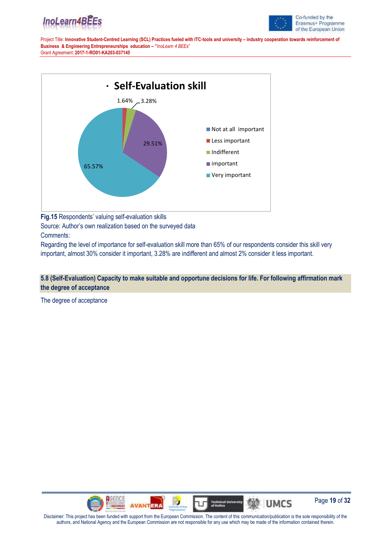![](_page_18_Picture_0.jpeg)

![](_page_18_Picture_1.jpeg)

![](_page_18_Figure_4.jpeg)

**Fig.15** Respondents' valuing self-evaluation skills Source: Author's own realization based on the surveyed data Comments:

Regarding the level of importance for self-evaluation skill more than 65% of our respondents consider this skill very important, almost 30% consider it important, 3.28% are indifferent and almost 2% consider it less important.

**5.8 (Self-Evaluation) Capacity to make suitable and opportune decisions for life. For following affirmation mark the degree of acceptance**

The degree of acceptance

![](_page_18_Picture_9.jpeg)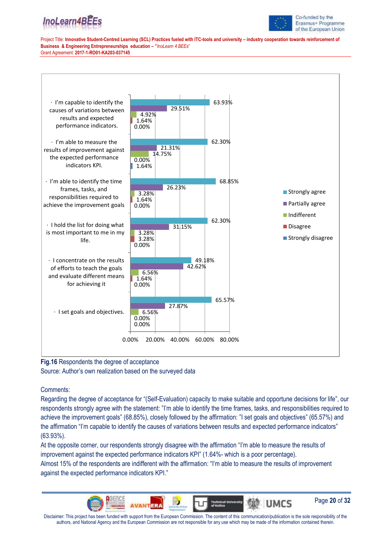![](_page_19_Picture_1.jpeg)

Project Title: **Innovative Student-Centred Learning (SCL) Practices fueled with ITC-tools and university – industry cooperation towards reinforcement of Business & Engineering Entrepreneurships education – "***InoLearn 4 BEEs*" Grant Agreement: **2017-1-RO01-KA203-037145**

![](_page_19_Figure_4.jpeg)

**Fig.16** Respondents the degree of acceptance

Source: Author's own realization based on the surveyed data

Comments:

Regarding the degree of acceptance for "(Self-Evaluation) capacity to make suitable and opportune decisions for life", our respondents strongly agree with the statement: "I'm able to identify the time frames, tasks, and responsibilities required to achieve the improvement goals" (68.85%), closely followed by the affirmation: "I set goals and objectives" (65.57%) and the affirmation "I'm capable to identify the causes of variations between results and expected performance indicators" (63.93%).

At the opposite corner, our respondents strongly disagree with the affirmation "I'm able to measure the results of improvement against the expected performance indicators KPI" (1.64%- which is a poor percentage).

Almost 15% of the respondents are indifferent with the affirmation: "I'm able to measure the results of improvement against the expected performance indicators KPI."

![](_page_19_Picture_11.jpeg)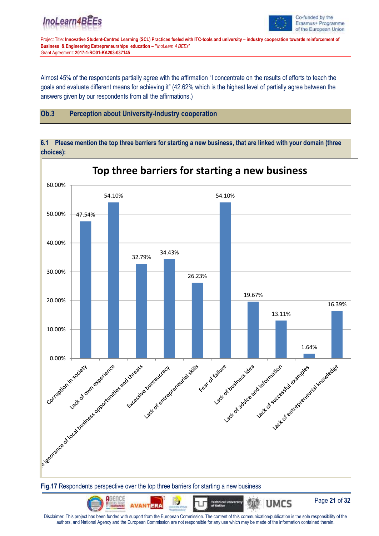![](_page_20_Picture_1.jpeg)

Project Title: **Innovative Student-Centred Learning (SCL) Practices fueled with ITC-tools and university – industry cooperation towards reinforcement of Business & Engineering Entrepreneurships education – "***InoLearn 4 BEEs*" Grant Agreement: **2017-1-RO01-KA203-037145**

Almost 45% of the respondents partially agree with the affirmation "I concentrate on the results of efforts to teach the goals and evaluate different means for achieving it" (42.62% which is the highest level of partially agree between the answers given by our respondents from all the affirmations.)

### **Ob.3 Perception about University-Industry cooperation**

**6.1 Please mention the top three barriers for starting a new business, that are linked with your domain (three choices):**

![](_page_20_Figure_7.jpeg)

#### **Fig.17** Respondents perspective over the top three barriers for starting a new business

![](_page_20_Picture_9.jpeg)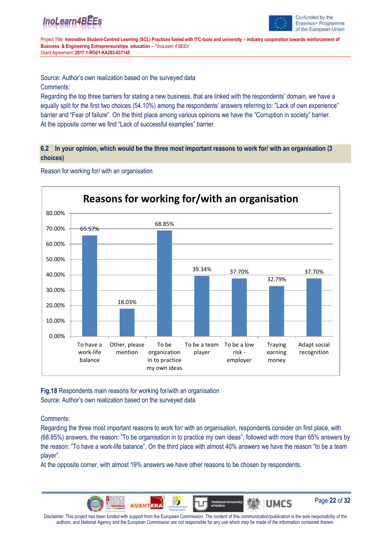![](_page_21_Picture_0.jpeg)

![](_page_21_Picture_1.jpeg)

Page **22** of **32**

**UMCS** 

Project Title: **Innovative Student-Centred Learning (SCL) Practices fueled with ITC-tools and university – industry cooperation towards reinforcement of Business & Engineering Entrepreneurships education – "***InoLearn 4 BEEs*" Grant Agreement: **2017-1-RO01-KA203-037145**

Source: Author's own realization based on the surveyed data

#### Comments:

Regarding the top three barriers for stating a new business, that are linked with the respondents' domain, we have a equally split for the first two choices (54.10%) among the respondents' answers referring to: "Lack of own experience" barrier and "Fear of failure". On the third place among various opinions we have the "Corruption in society" barrier. At the opposite corner we find "Lack of successful examples" barrier.

#### **6.2 In your opinion, which would be the three most important reasons to work for/ with an organisation (3 choices)**

![](_page_21_Figure_8.jpeg)

Reason for working for/ with an organisation

**Fig.18** Respondents main reasons for working for/with an organisation Source: Author's own realization based on the surveyed data

#### Comments:

Regarding the three most important reasons to work for/ with an organisation, respondents consider on first place, with (68.85%) answers, the reason: "To be organisation in to practice my own ideas", followed with more than 65% answers by the reason: "To have a work-life balance", On the third place with almost 40% answers we have the reason "to be a team player".

At the opposite corner, with almost 19% answers we have other reasons to be chosen by respondents.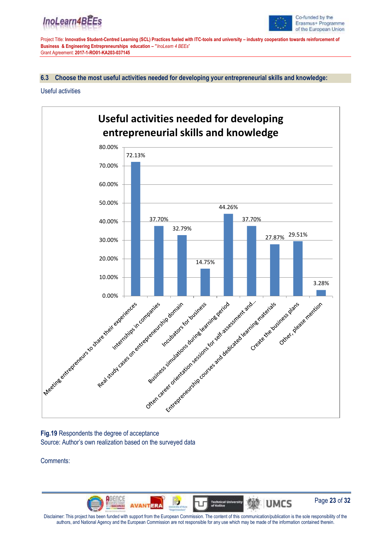![](_page_22_Picture_0.jpeg)

![](_page_22_Picture_1.jpeg)

**6.3 Choose the most useful activities needed for developing your entrepreneurial skills and knowledge:**

#### Useful activities

![](_page_22_Figure_6.jpeg)

### **Fig.19** Respondents the degree of acceptance Source: Author's own realization based on the surveyed data

Comments:

![](_page_22_Picture_9.jpeg)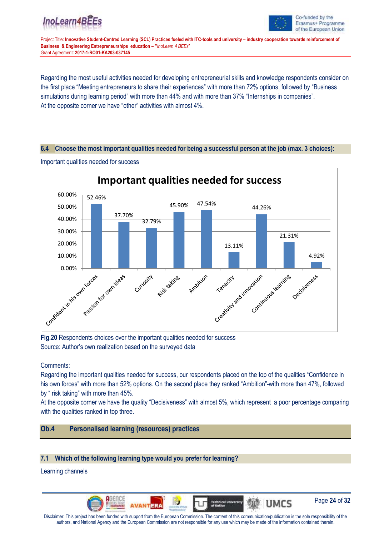![](_page_23_Picture_1.jpeg)

Project Title: **Innovative Student-Centred Learning (SCL) Practices fueled with ITC-tools and university – industry cooperation towards reinforcement of Business & Engineering Entrepreneurships education – "***InoLearn 4 BEEs*" Grant Agreement: **2017-1-RO01-KA203-037145**

Regarding the most useful activities needed for developing entrepreneurial skills and knowledge respondents consider on the first place "Meeting entrepreneurs to share their experiences" with more than 72% options, followed by "Business simulations during learning period" with more than 44% and with more than 37% "Internships in companies". At the opposite corner we have "other" activities with almost 4%.

#### **6.4 Choose the most important qualities needed for being a successful person at the job (max. 3 choices):**

![](_page_23_Figure_6.jpeg)

Important qualities needed for success

**Fig.20** Respondents choices over the important qualities needed for success Source: Author's own realization based on the surveyed data

Comments:

Regarding the important qualities needed for success, our respondents placed on the top of the qualities "Confidence in his own forces" with more than 52% options. On the second place they ranked "Ambition"-with more than 47%, followed by " risk taking" with more than 45%.

At the opposite corner we have the quality "Decisiveness" with almost 5%, which represent a poor percentage comparing with the qualities ranked in top three.

# **Ob.4 Personalised learning (resources) practices**

## **7.1 Which of the following learning type would you prefer for learning?**

Learning channels

![](_page_23_Picture_15.jpeg)

![](_page_23_Picture_16.jpeg)

**她 UMCS** 

![](_page_23_Picture_17.jpeg)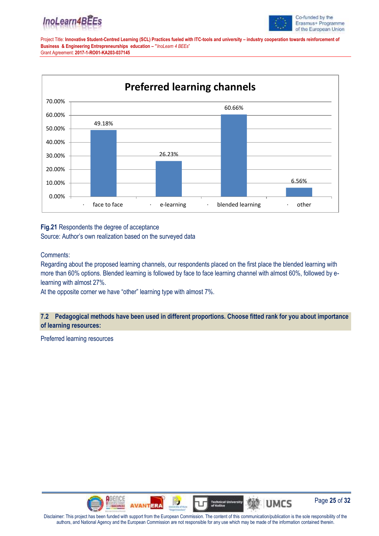![](_page_24_Picture_0.jpeg)

![](_page_24_Picture_1.jpeg)

![](_page_24_Figure_4.jpeg)

## **Fig.21** Respondents the degree of acceptance Source: Author's own realization based on the surveyed data

### Comments:

Regarding about the proposed learning channels, our respondents placed on the first place the blended learning with more than 60% options. Blended learning is followed by face to face learning channel with almost 60%, followed by elearning with almost 27%.

At the opposite corner we have "other" learning type with almost 7%.

### **7.2 Pedagogical methods have been used in different proportions. Choose fitted rank for you about importance of learning resources:**

Preferred learning resources

![](_page_24_Picture_11.jpeg)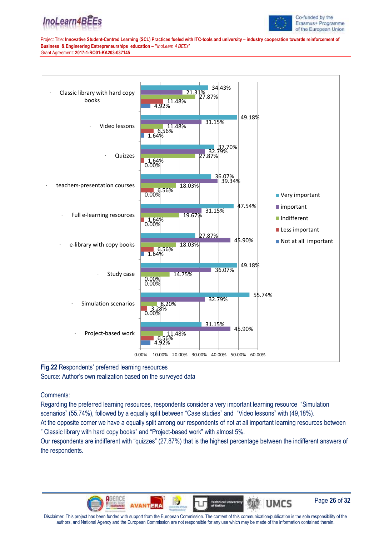![](_page_25_Picture_0.jpeg)

![](_page_25_Picture_1.jpeg)

![](_page_25_Figure_4.jpeg)

**Fig.22** Respondents' preferred learning resources Source: Author's own realization based on the surveyed data

### Comments:

Regarding the preferred learning resources, respondents consider a very important learning resource "Simulation scenarios" (55.74%), followed by a equally split between "Case studies" and "Video lessons" with (49,18%).

At the opposite corner we have a equally split among our respondents of not at all important learning resources between " Classic library with hard copy books" and "Project-based work" with almost 5%.

Our respondents are indifferent with "quizzes" (27.87%) that is the highest percentage between the indifferent answers of the respondents.

![](_page_25_Picture_10.jpeg)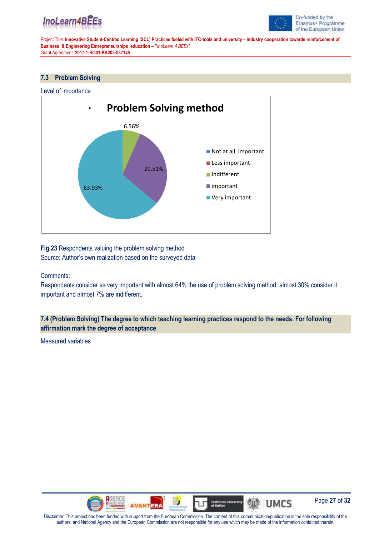![](_page_26_Picture_0.jpeg)

![](_page_26_Picture_1.jpeg)

#### **7.3 Problem Solving**

![](_page_26_Figure_5.jpeg)

![](_page_26_Figure_6.jpeg)

**Fig.23** Respondents valuing the problem solving method Source: Author's own realization based on the surveyed data

#### Comments:

Respondents consider as very important with almost 64% the use of problem solving method, almost 30% consider it important and almost 7% are indifferent.

**7.4 (Problem Solving) The degree to which teaching learning practices respond to the needs. For following affirmation mark the degree of acceptance**

Measured variables

![](_page_26_Picture_12.jpeg)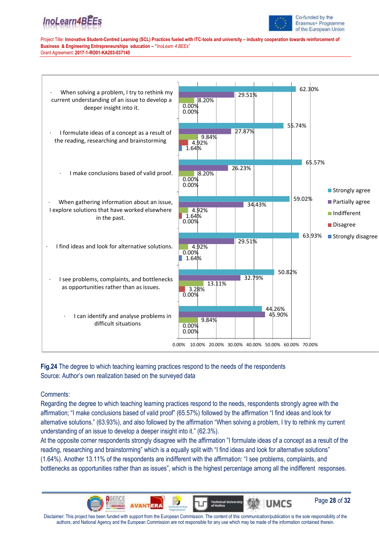![](_page_27_Picture_1.jpeg)

Co-funded by the Erasmus+ Programme of the European Union

Project Title: **Innovative Student-Centred Learning (SCL) Practices fueled with ITC-tools and university – industry cooperation towards reinforcement of Business & Engineering Entrepreneurships education – "***InoLearn 4 BEEs*" Grant Agreement: **2017-1-RO01-KA203-037145**

![](_page_27_Figure_4.jpeg)

**Fig.24** The degree to which teaching learning practices respond to the needs of the respondents Source: Author's own realization based on the surveyed data

Comments:

Regarding the degree to which teaching learning practices respond to the needs, respondents strongly agree with the affirmation; "I make conclusions based of valid proof" (65.57%) followed by the affirmation "I find ideas and look for alternative solutions." (63.93%), and also followed by the affirmation "When solving a problem, I try to rethink my current understanding of an issue to develop a deeper insight into it." (62.3%).

At the opposite corner respondents strongly disagree with the affirmation "I formulate ideas of a concept as a result of the reading, researching and brainstorming" which is a equally split with "I find ideas and look for alternative solutions" (1.64%). Another 13.11% of the respondents are indifferent with the affirmation: "I see problems, complaints, and bottlenecks as opportunities rather than as issues", which is the highest percentage among all the indifferent responses.

![](_page_27_Picture_9.jpeg)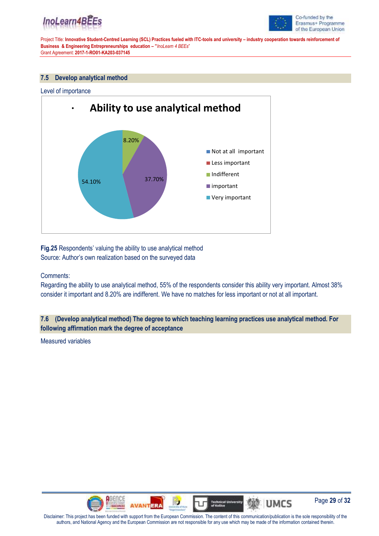![](_page_28_Picture_0.jpeg)

![](_page_28_Picture_1.jpeg)

#### **7.5 Develop analytical method**

![](_page_28_Figure_5.jpeg)

**Fig.25** Respondents' valuing the ability to use analytical method Source: Author's own realization based on the surveyed data

#### Comments:

Regarding the ability to use analytical method, 55% of the respondents consider this ability very important. Almost 38% consider it important and 8.20% are indifferent. We have no matches for less important or not at all important.

### **7.6 (Develop analytical method) The degree to which teaching learning practices use analytical method. For following affirmation mark the degree of acceptance**

Measured variables

![](_page_28_Picture_11.jpeg)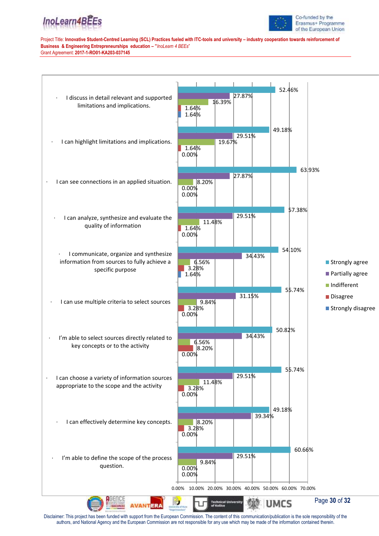![](_page_29_Picture_0.jpeg)

![](_page_29_Picture_1.jpeg)

![](_page_29_Figure_4.jpeg)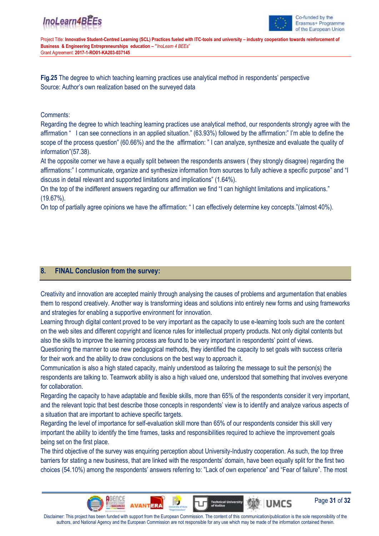![](_page_30_Picture_1.jpeg)

Project Title: **Innovative Student-Centred Learning (SCL) Practices fueled with ITC-tools and university – industry cooperation towards reinforcement of Business & Engineering Entrepreneurships education – "***InoLearn 4 BEEs*" Grant Agreement: **2017-1-RO01-KA203-037145**

**Fig.25** The degree to which teaching learning practices use analytical method in respondents' perspective Source: Author's own realization based on the surveyed data

### Comments:

Regarding the degree to which teaching learning practices use analytical method, our respondents strongly agree with the affirmation " I can see connections in an applied situation." (63.93%) followed by the affirmation:" I'm able to define the scope of the process question" (60.66%) and the the affirmation: " I can analyze, synthesize and evaluate the quality of information"(57.38).

At the opposite corner we have a equally split between the respondents answers ( they strongly disagree) regarding the affirmations:" I communicate, organize and synthesize information from sources to fully achieve a specific purpose" and "I discuss in detail relevant and supported limitations and implications" (1.64%).

On the top of the indifferent answers regarding our affirmation we find "I can highlight limitations and implications." (19.67%).

On top of partially agree opinions we have the affirmation: " I can effectively determine key concepts."(almost 40%).

## **8. FINAL Conclusion from the survey:**

Creativity and innovation are accepted mainly through analysing the causes of problems and argumentation that enables them to respond creatively. Another way is transforming ideas and solutions into entirely new forms and using frameworks and strategies for enabling a supportive environment for innovation.

Learning through digital content proved to be very important as the capacity to use e-learning tools such are the content on the web sites and different copyright and licence rules for intellectual property products. Not only digital contents but also the skills to improve the learning process are found to be very important in respondents' point of views.

Questioning the manner to use new pedagogical methods, they identified the capacity to set goals with success criteria for their work and the ability to draw conclusions on the best way to approach it.

Communication is also a high stated capacity, mainly understood as tailoring the message to suit the person(s) the respondents are talking to. Teamwork ability is also a high valued one, understood that something that involves everyone for collaboration.

Regarding the capacity to have adaptable and flexible skills, more than 65% of the respondents consider it very important, and the relevant topic that best describe those concepts in respondents' view is to identify and analyze various aspects of a situation that are important to achieve specific targets.

Regarding the level of importance for self-evaluation skill more than 65% of our respondents consider this skill very important the ability to identify the time frames, tasks and responsibilities required to achieve the improvement goals being set on the first place.

The third objective of the survey was enquiring perception about University-Industry cooperation. As such, the top three barriers for stating a new business, that are linked with the respondents' domain, have been equally split for the first two choices (54.10%) among the respondents' answers referring to: "Lack of own experience" and "Fear of failure". The most